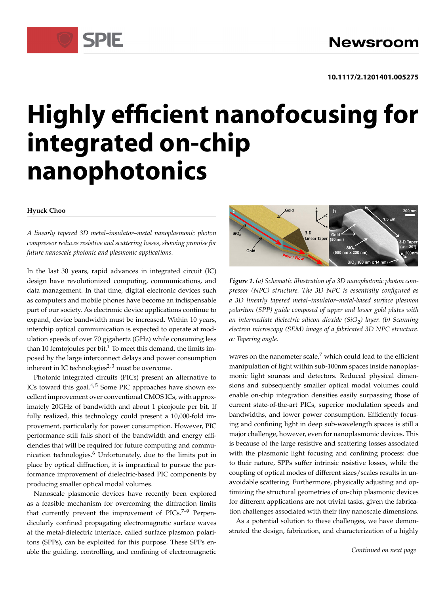# **Highly efficient nanofocusing for integrated on-chip nanophotonics**

### **Hyuck Choo**

*A linearly tapered 3D metal–insulator–metal nanoplasmonic photon compressor reduces resistive and scattering losses, showing promise for future nanoscale photonic and plasmonic applications.*

SPIE

In the last 30 years, rapid advances in integrated circuit (IC) design have revolutionized computing, communications, and data management. In that time, digital electronic devices such as computers and mobile phones have become an indispensable part of our society. As electronic device applications continue to expand, device bandwidth must be increased. Within 10 years, interchip optical communication is expected to operate at modulation speeds of over 70 gigahertz (GHz) while consuming less than 10 femtojoules per bit.<sup>1</sup> To meet this demand, the limits imposed by the large interconnect delays and power consumption inherent in IC technologies<sup> $2,3$ </sup> must be overcome.

Photonic integrated circuits (PICs) present an alternative to ICs toward this goal. $4,5$  Some PIC approaches have shown excellent improvement over conventional CMOS ICs, with approximately 20GHz of bandwidth and about 1 picojoule per bit. If fully realized, this technology could present a 10,000-fold improvement, particularly for power consumption. However, PIC performance still falls short of the bandwidth and energy efficiencies that will be required for future computing and communication technologies.<sup>6</sup> Unfortunately, due to the limits put in place by optical diffraction, it is impractical to pursue the performance improvement of dielectric-based PIC components by producing smaller optical modal volumes.

Nanoscale plasmonic devices have recently been explored as a feasible mechanism for overcoming the diffraction limits that currently prevent the improvement of  $PICs^{7-9}$  Perpendicularly confined propagating electromagnetic surface waves at the metal-dielectric interface, called surface plasmon polaritons (SPPs), can be exploited for this purpose. These SPPs enable the guiding, controlling, and confining of electromagnetic



*Figure 1. (a) Schematic illustration of a 3D nanophotonic photon compressor (NPC) structure. The 3D NPC is essentially configured as a 3D linearly tapered metal–insulator–metal-based surface plasmon polariton (SPP) guide composed of upper and lower gold plates with an intermediate dielectric silicon dioxide (SiO<sup>2</sup> ) layer. (b) Scanning electron microscopy (SEM) image of a fabricated 3D NPC structure.* ˛*: Tapering angle.*

waves on the nanometer scale, $7$  which could lead to the efficient manipulation of light within sub-100nm spaces inside nanoplasmonic light sources and detectors. Reduced physical dimensions and subsequently smaller optical modal volumes could enable on-chip integration densities easily surpassing those of current state-of-the-art PICs, superior modulation speeds and bandwidths, and lower power consumption. Efficiently focusing and confining light in deep sub-wavelength spaces is still a major challenge, however, even for nanoplasmonic devices. This is because of the large resistive and scattering losses associated with the plasmonic light focusing and confining process: due to their nature, SPPs suffer intrinsic resistive losses, while the coupling of optical modes of different sizes/scales results in unavoidable scattering. Furthermore, physically adjusting and optimizing the structural geometries of on-chip plasmonic devices for different applications are not trivial tasks, given the fabrication challenges associated with their tiny nanoscale dimensions.

As a potential solution to these challenges, we have demonstrated the design, fabrication, and characterization of a highly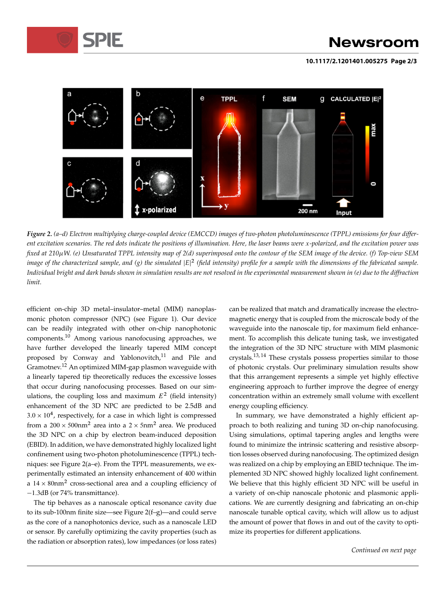

### **Newsroom**

**10.1117/2.1201401.005275 Page 2/3**



*Figure 2. (a–d) Electron multiplying charge-coupled device (EMCCD) images of two-photon photoluminescence (TPPL) emissions for four different excitation scenarios. The red dots indicate the positions of illumination. Here, the laser beams were* x*-polarized, and the excitation power was fixed at 210W. (e) Unsaturated TPPL intensity map of 2(d) superimposed onto the contour of the SEM image of the device. (f) Top-view SEM* image of the characterized sample, and (g) the simulated  $|E|^2$  (field intensity) profile for a sample with the dimensions of the fabricated sample. *Individual bright and dark bands shown in simulation results are not resolved in the experimental measurement shown in (e) due to the diffraction limit.*

efficient on-chip 3D metal–insulator–metal (MIM) nanoplasmonic photon compressor (NPC) (see Figure 1). Our device can be readily integrated with other on-chip nanophotonic components.<sup>10</sup> Among various nanofocusing approaches, we have further developed the linearly tapered MIM concept proposed by Conway and Yablonovitch,<sup>11</sup> and Pile and Gramotnev.<sup>12</sup> An optimized MIM-gap plasmon waveguide with a linearly tapered tip theoretically reduces the excessive losses that occur during nanofocusing processes. Based on our simulations, the coupling loss and maximum  $E^2$  (field intensity) enhancement of the 3D NPC are predicted to be 2.5dB and  $3.0 \times 10^4$ , respectively, for a case in which light is compressed from a 200  $\times$  500nm<sup>2</sup> area into a 2  $\times$  5nm<sup>2</sup> area. We produced the 3D NPC on a chip by electron beam-induced deposition (EBID). In addition, we have demonstrated highly localized light confinement using two-photon photoluminescence (TPPL) techniques: see Figure 2(a–e). From the TPPL measurements, we experimentally estimated an intensity enhancement of 400 within a  $14 \times 80$ nm<sup>2</sup> cross-sectional area and a coupling efficiency of -1.3dB (or 74% transmittance).

The tip behaves as a nanoscale optical resonance cavity due to its sub-100nm finite size—see Figure 2(f–g)—and could serve as the core of a nanophotonics device, such as a nanoscale LED or sensor. By carefully optimizing the cavity properties (such as the radiation or absorption rates), low impedances (or loss rates) can be realized that match and dramatically increase the electromagnetic energy that is coupled from the microscale body of the waveguide into the nanoscale tip, for maximum field enhancement. To accomplish this delicate tuning task, we investigated the integration of the 3D NPC structure with MIM plasmonic crystals.13, 14 These crystals possess properties similar to those of photonic crystals. Our preliminary simulation results show that this arrangement represents a simple yet highly effective engineering approach to further improve the degree of energy concentration within an extremely small volume with excellent energy coupling efficiency.

In summary, we have demonstrated a highly efficient approach to both realizing and tuning 3D on-chip nanofocusing. Using simulations, optimal tapering angles and lengths were found to minimize the intrinsic scattering and resistive absorption losses observed during nanofocusing. The optimized design was realized on a chip by employing an EBID technique. The implemented 3D NPC showed highly localized light confinement. We believe that this highly efficient 3D NPC will be useful in a variety of on-chip nanoscale photonic and plasmonic applications. We are currently designing and fabricating an on-chip nanoscale tunable optical cavity, which will allow us to adjust the amount of power that flows in and out of the cavity to optimize its properties for different applications.